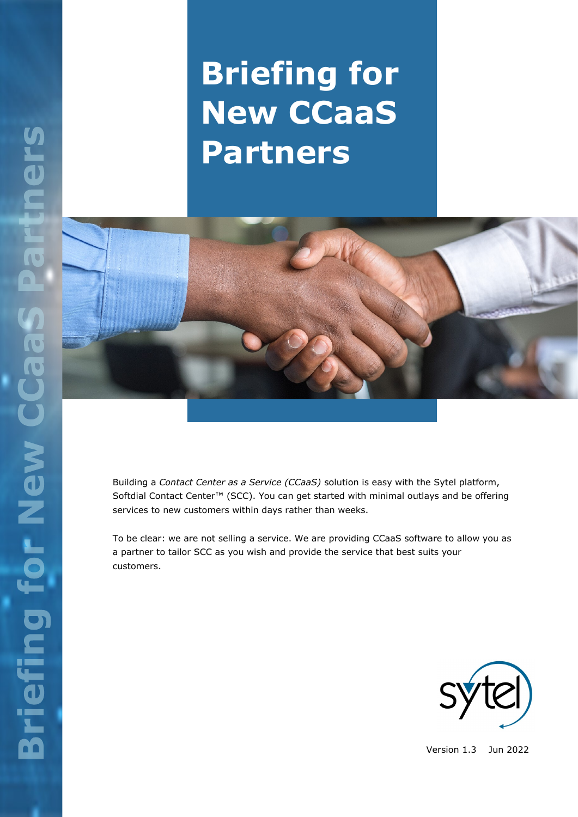# **Briefing for New CCaaS Partners**



Building a *Contact Center as a Service (CCaaS)* solution is easy with the Sytel platform, Softdial Contact Center™ (SCC). You can get started with minimal outlays and be offering services to new customers within days rather than weeks.

To be clear: we are not selling a service. We are providing CCaaS software to allow you as a partner to tailor SCC as you wish and provide the service that best suits your customers.



Version 1.3 Jun 2022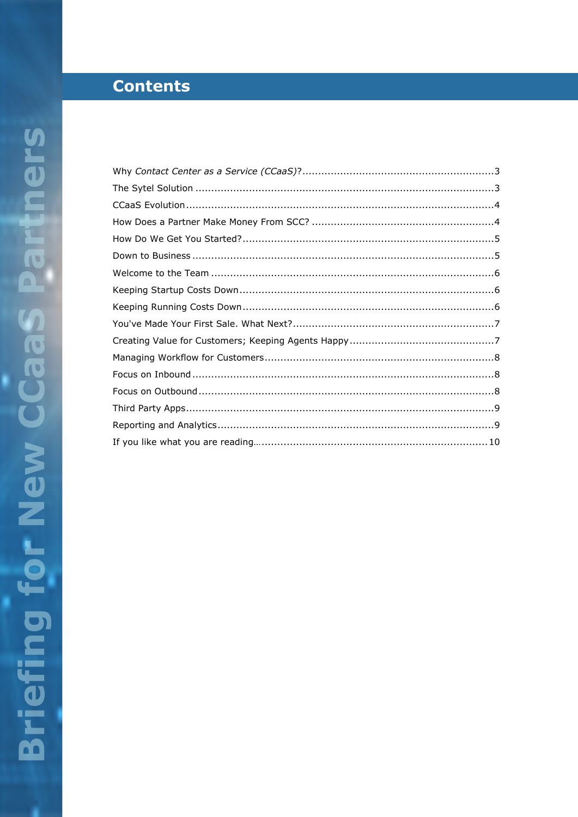# **Contents**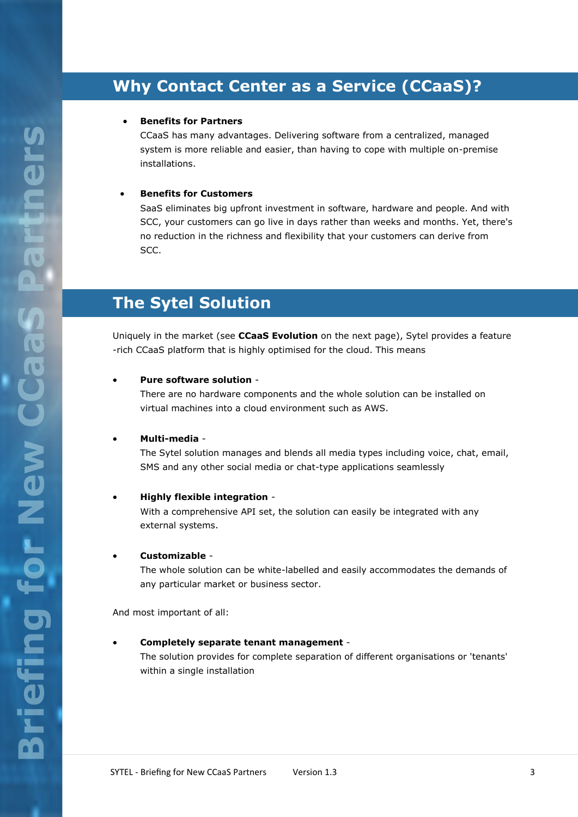# **Why Contact Center as a Service (CCaaS)?**

#### • **Benefits for Partners**

CCaaS has many advantages. Delivering software from a centralized, managed system is more reliable and easier, than having to cope with multiple on-premise installations.

#### • **Benefits for Customers**

SaaS eliminates big upfront investment in software, hardware and people. And with SCC, your customers can go live in days rather than weeks and months. Yet, there's no reduction in the richness and flexibility that your customers can derive from SCC.

### **The Sytel Solution**

Uniquely in the market (see **CCaaS Evolution** on the next page), Sytel provides a feature -rich CCaaS platform that is highly optimised for the cloud. This means

#### • **Pure software solution** -

There are no hardware components and the whole solution can be installed on virtual machines into a cloud environment such as AWS.

#### • **Multi-media** -

The Sytel solution manages and blends all media types including voice, chat, email, SMS and any other social media or chat-type applications seamlessly

#### • **Highly flexible integration** -

With a comprehensive API set, the solution can easily be integrated with any external systems.

#### • **Customizable** -

The whole solution can be white-labelled and easily accommodates the demands of any particular market or business sector.

And most important of all:

#### • **Completely separate tenant management** -

The solution provides for complete separation of different organisations or 'tenants' within a single installation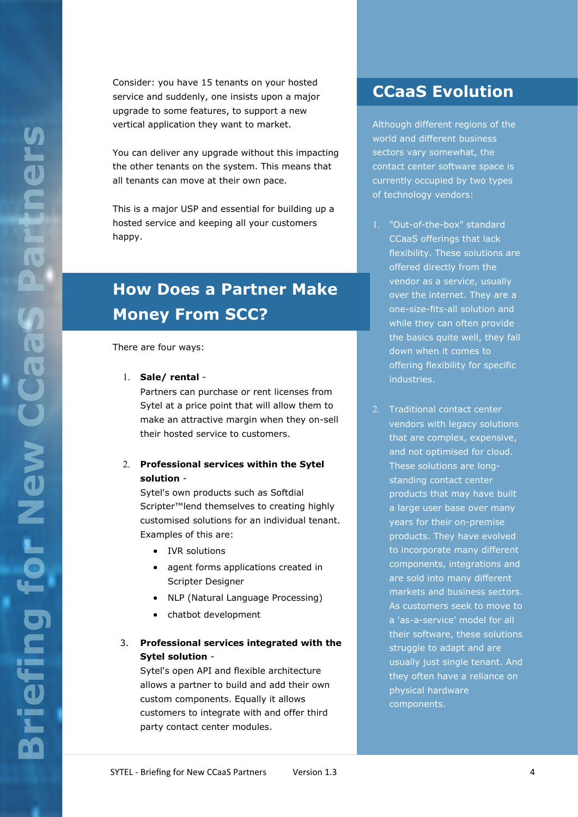Consider: you have 15 tenants on your hosted service and suddenly, one insists upon a major upgrade to some features, to support a new vertical application they want to market.

You can deliver any upgrade without this impacting the other tenants on the system. This means that all tenants can move at their own pace.

This is a major USP and essential for building up a hosted service and keeping all your customers happy.

# **How Does a Partner Make Money From SCC?**

There are four ways:

**Sale/ rental** -

Partners can purchase or rent licenses from Sytel at a price point that will allow them to make an attractive margin when they on-sell their hosted service to customers.

#### **Professional services within the Sytel solution** -

Sytel's own products such as Softdial Scripter™lend themselves to creating highly customised solutions for an individual tenant. Examples of this are:

- IVR solutions
- agent forms applications created in Scripter Designer
- NLP (Natural Language Processing)
- chatbot development

#### 3. **Professional services integrated with the Sytel solution** -

Sytel's open API and flexible architecture allows a partner to build and add their own custom components. Equally it allows customers to integrate with and offer third party contact center modules.

### **CCaaS Evolution**

Although different regions of the world and different business sectors vary somewhat, the contact center software space is currently occupied by two types of technology vendors:

- "Out-of-the-box" standard CCaaS offerings that lack flexibility. These solutions are offered directly from the vendor as a service, usually over the internet. They are a one-size-fits-all solution and while they can often provide the basics quite well, they fall down when it comes to offering flexibility for specific industries.
- 2. Traditional contact center vendors with legacy solutions that are complex, expensive, and not optimised for cloud. These solutions are longstanding contact center products that may have built a large user base over many years for their on-premise products. They have evolved to incorporate many different components, integrations and are sold into many different markets and business sectors. As customers seek to move to a 'as-a-service' model for all their software, these solutions struggle to adapt and are usually just single tenant. And they often have a reliance on physical hardware components.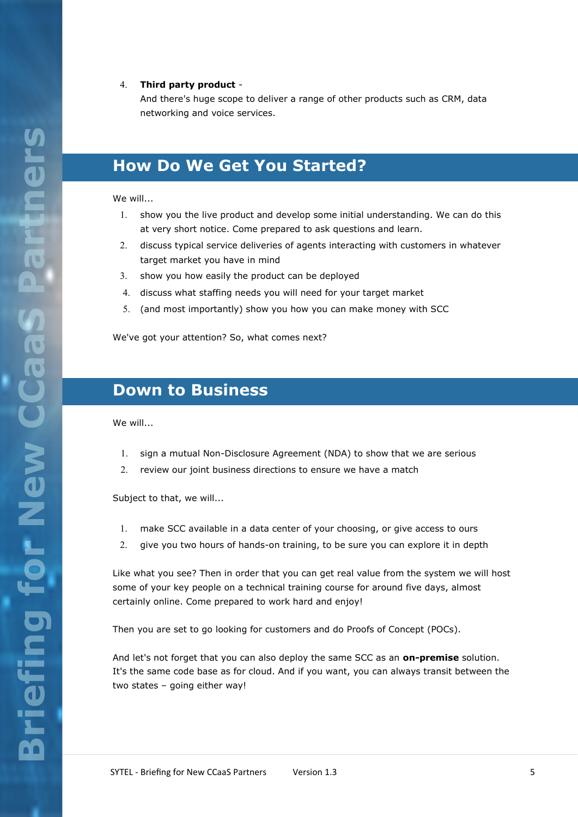#### **Third party product** -

And there's huge scope to deliver a range of other products such as CRM, data networking and voice services.

### **How Do We Get You Started?**

#### We will...

- 1. show you the live product and develop some initial understanding. We can do this at very short notice. Come prepared to ask questions and learn.
- discuss typical service deliveries of agents interacting with customers in whatever target market you have in mind
- 3. show you how easily the product can be deployed
- discuss what staffing needs you will need for your target market
- (and most importantly) show you how you can make money with SCC

We've got your attention? So, what comes next?

### **Down to Business**

We will...

- 1. sign a mutual Non-Disclosure Agreement (NDA) to show that we are serious
- 2. review our joint business directions to ensure we have a match

Subject to that, we will...

- make SCC available in a data center of your choosing, or give access to ours
- give you two hours of hands-on training, to be sure you can explore it in depth

Like what you see? Then in order that you can get real value from the system we will host some of your key people on a technical training course for around five days, almost certainly online. Come prepared to work hard and enjoy!

Then you are set to go looking for customers and do Proofs of Concept (POCs).

And let's not forget that you can also deploy the same SCC as an **on-premise** solution. It's the same code base as for cloud. And if you want, you can always transit between the two states – going either way!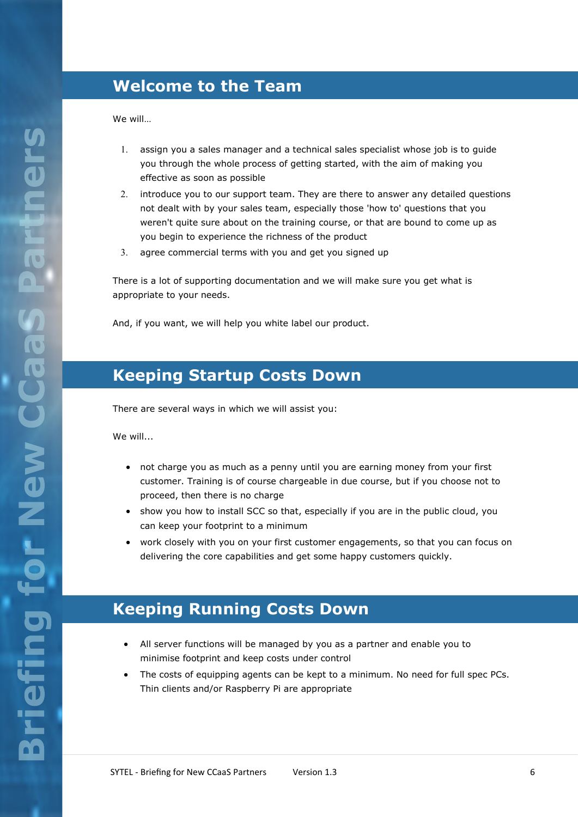### **Welcome to the Team**

We will…

- assign you a sales manager and a technical sales specialist whose job is to guide you through the whole process of getting started, with the aim of making you effective as soon as possible
- 2. introduce you to our support team. They are there to answer any detailed questions not dealt with by your sales team, especially those 'how to' questions that you weren't quite sure about on the training course, or that are bound to come up as you begin to experience the richness of the product
- agree commercial terms with you and get you signed up

There is a lot of supporting documentation and we will make sure you get what is appropriate to your needs.

And, if you want, we will help you white label our product.

### **Keeping Startup Costs Down**

There are several ways in which we will assist you:

We will...

- not charge you as much as a penny until you are earning money from your first customer. Training is of course chargeable in due course, but if you choose not to proceed, then there is no charge
- show you how to install SCC so that, especially if you are in the public cloud, you can keep your footprint to a minimum
- work closely with you on your first customer engagements, so that you can focus on delivering the core capabilities and get some happy customers quickly.

### **Keeping Running Costs Down**

- All server functions will be managed by you as a partner and enable you to minimise footprint and keep costs under control
- The costs of equipping agents can be kept to a minimum. No need for full spec PCs. Thin clients and/or Raspberry Pi are appropriate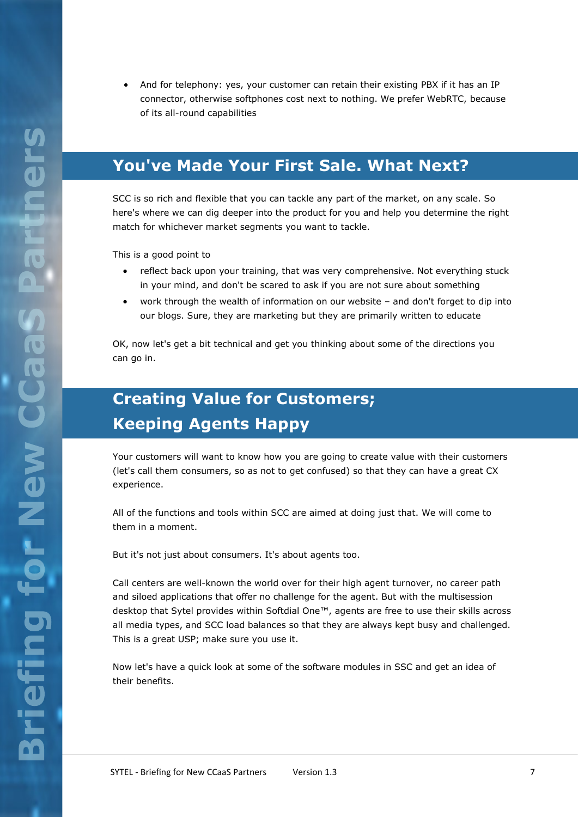• And for telephony: yes, your customer can retain their existing PBX if it has an IP connector, otherwise softphones cost next to nothing. We prefer WebRTC, because of its all-round capabilities

### **You've Made Your First Sale. What Next?**

SCC is so rich and flexible that you can tackle any part of the market, on any scale. So here's where we can dig deeper into the product for you and help you determine the right match for whichever market segments you want to tackle.

This is a good point to

- reflect back upon your training, that was very comprehensive. Not everything stuck in your mind, and don't be scared to ask if you are not sure about something
- work through the wealth of information on our website and don't forget to dip into our blogs. Sure, they are marketing but they are primarily written to educate

OK, now let's get a bit technical and get you thinking about some of the directions you can go in.

# **Creating Value for Customers; Keeping Agents Happy**

Your customers will want to know how you are going to create value with their customers (let's call them consumers, so as not to get confused) so that they can have a great CX experience.

All of the functions and tools within SCC are aimed at doing just that. We will come to them in a moment.

But it's not just about consumers. It's about agents too.

Call centers are well-known the world over for their high agent turnover, no career path and siloed applications that offer no challenge for the agent. But with the multisession desktop that Sytel provides within Softdial One™, agents are free to use their skills across all media types, and SCC load balances so that they are always kept busy and challenged. This is a great USP; make sure you use it.

Now let's have a quick look at some of the software modules in SSC and get an idea of their benefits.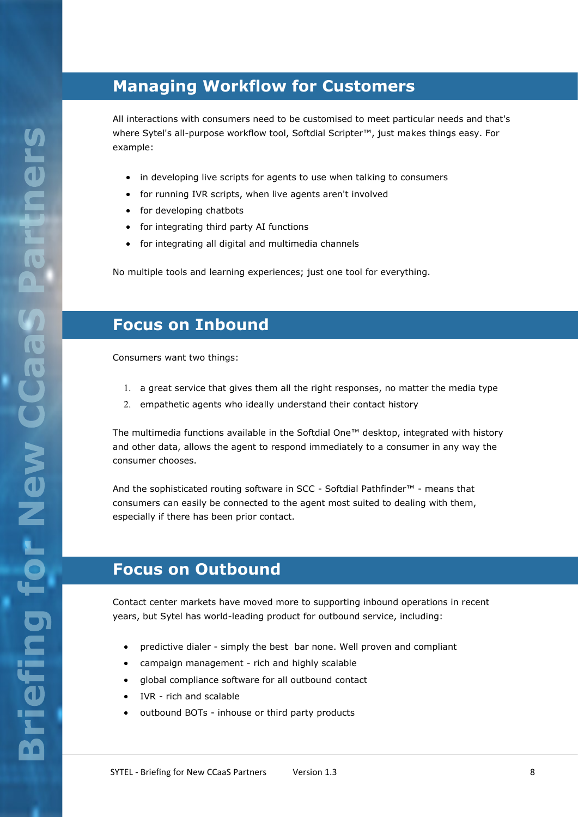### **Managing Workflow for Customers**

All interactions with consumers need to be customised to meet particular needs and that's where Sytel's all-purpose workflow tool, Softdial Scripter™, just makes things easy. For example:

- in developing live scripts for agents to use when talking to consumers
- for running IVR scripts, when live agents aren't involved
- for developing chatbots
- for integrating third party AI functions
- for integrating all digital and multimedia channels

No multiple tools and learning experiences; just one tool for everything.

### **Focus on Inbound**

Consumers want two things:

- a great service that gives them all the right responses, no matter the media type
- 2. empathetic agents who ideally understand their contact history

The multimedia functions available in the Softdial One™ desktop, integrated with history and other data, allows the agent to respond immediately to a consumer in any way the consumer chooses.

And the sophisticated routing software in SCC - Softdial Pathfinder™ - means that consumers can easily be connected to the agent most suited to dealing with them, especially if there has been prior contact.

### **Focus on Outbound**

Contact center markets have moved more to supporting inbound operations in recent years, but Sytel has world-leading product for outbound service, including:

- predictive dialer simply the best bar none. Well proven and compliant
- campaign management rich and highly scalable
- global compliance software for all outbound contact
- IVR rich and scalable
- outbound BOTs inhouse or third party products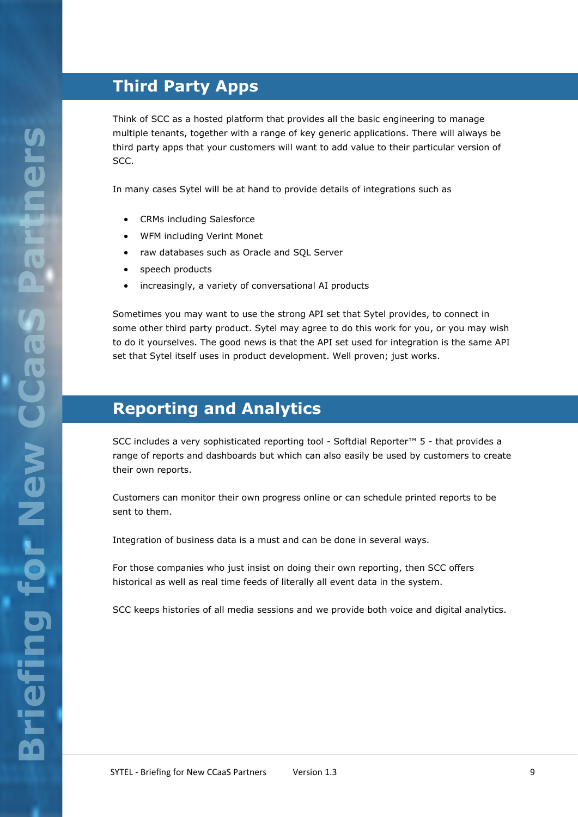# **Third Party Apps**

Think of SCC as a hosted platform that provides all the basic engineering to manage multiple tenants, together with a range of key generic applications. There will always be third party apps that your customers will want to add value to their particular version of SCC.

In many cases Sytel will be at hand to provide details of integrations such as

- CRMs including Salesforce
- WFM including Verint Monet
- raw databases such as Oracle and SQL Server
- speech products
- increasingly, a variety of conversational AI products

Sometimes you may want to use the strong API set that Sytel provides, to connect in some other third party product. Sytel may agree to do this work for you, or you may wish to do it yourselves. The good news is that the API set used for integration is the same API set that Sytel itself uses in product development. Well proven; just works.

### **Reporting and Analytics**

SCC includes a very sophisticated reporting tool - Softdial Reporter™ 5 - that provides a range of reports and dashboards but which can also easily be used by customers to create their own reports.

Customers can monitor their own progress online or can schedule printed reports to be sent to them.

Integration of business data is a must and can be done in several ways.

For those companies who just insist on doing their own reporting, then SCC offers historical as well as real time feeds of literally all event data in the system.

SCC keeps histories of all media sessions and we provide both voice and digital analytics.